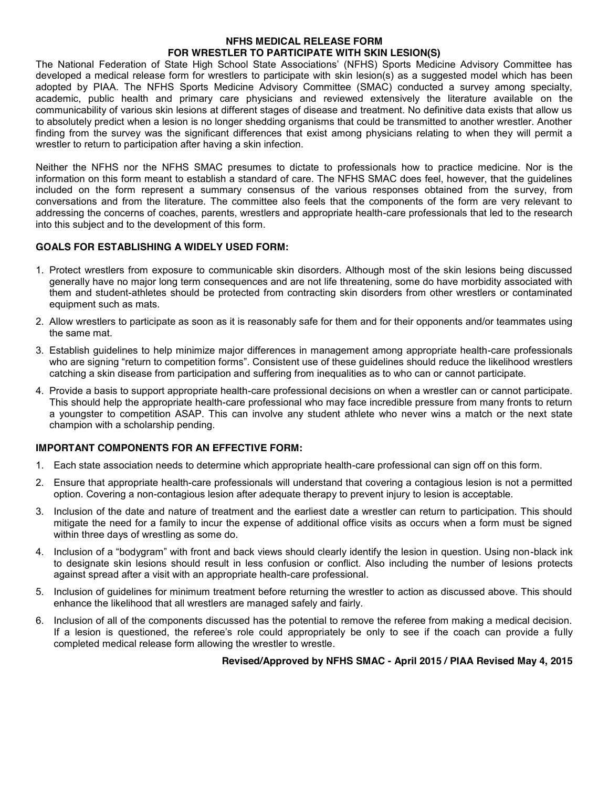# **NFHS MEDICAL RELEASE FORM FOR WRESTLER TO PARTICIPATE WITH SKIN LESION(S)**

The National Federation of State High School State Associations' (NFHS) Sports Medicine Advisory Committee has developed a medical release form for wrestlers to participate with skin lesion(s) as a suggested model which has been adopted by PIAA. The NFHS Sports Medicine Advisory Committee (SMAC) conducted a survey among specialty, academic, public health and primary care physicians and reviewed extensively the literature available on the communicability of various skin lesions at different stages of disease and treatment. No definitive data exists that allow us to absolutely predict when a lesion is no longer shedding organisms that could be transmitted to another wrestler. Another finding from the survey was the significant differences that exist among physicians relating to when they will permit a wrestler to return to participation after having a skin infection.

Neither the NFHS nor the NFHS SMAC presumes to dictate to professionals how to practice medicine. Nor is the information on this form meant to establish a standard of care. The NFHS SMAC does feel, however, that the guidelines included on the form represent a summary consensus of the various responses obtained from the survey, from conversations and from the literature. The committee also feels that the components of the form are very relevant to addressing the concerns of coaches, parents, wrestlers and appropriate health-care professionals that led to the research into this subject and to the development of this form.

# **GOALS FOR ESTABLISHING A WIDELY USED FORM:**

- 1. Protect wrestlers from exposure to communicable skin disorders. Although most of the skin lesions being discussed generally have no major long term consequences and are not life threatening, some do have morbidity associated with them and student-athletes should be protected from contracting skin disorders from other wrestlers or contaminated equipment such as mats.
- 2. Allow wrestlers to participate as soon as it is reasonably safe for them and for their opponents and/or teammates using the same mat.
- 3. Establish guidelines to help minimize major differences in management among appropriate health-care professionals who are signing "return to competition forms". Consistent use of these guidelines should reduce the likelihood wrestlers catching a skin disease from participation and suffering from inequalities as to who can or cannot participate.
- 4. Provide a basis to support appropriate health-care professional decisions on when a wrestler can or cannot participate. This should help the appropriate health-care professional who may face incredible pressure from many fronts to return a youngster to competition ASAP. This can involve any student athlete who never wins a match or the next state champion with a scholarship pending.

# **IMPORTANT COMPONENTS FOR AN EFFECTIVE FORM:**

- 1. Each state association needs to determine which appropriate health-care professional can sign off on this form.
- 2. Ensure that appropriate health-care professionals will understand that covering a contagious lesion is not a permitted option. Covering a non-contagious lesion after adequate therapy to prevent injury to lesion is acceptable.
- 3. Inclusion of the date and nature of treatment and the earliest date a wrestler can return to participation. This should mitigate the need for a family to incur the expense of additional office visits as occurs when a form must be signed within three days of wrestling as some do.
- 4. Inclusion of a "bodygram" with front and back views should clearly identify the lesion in question. Using non-black ink to designate skin lesions should result in less confusion or conflict. Also including the number of lesions protects against spread after a visit with an appropriate health-care professional.
- 5. Inclusion of guidelines for minimum treatment before returning the wrestler to action as discussed above. This should enhance the likelihood that all wrestlers are managed safely and fairly.
- 6. Inclusion of all of the components discussed has the potential to remove the referee from making a medical decision. If a lesion is questioned, the referee's role could appropriately be only to see if the coach can provide a fully completed medical release form allowing the wrestler to wrestle.

# **Revised/Approved by NFHS SMAC - April 2015 / PIAA Revised May 4, 2015**